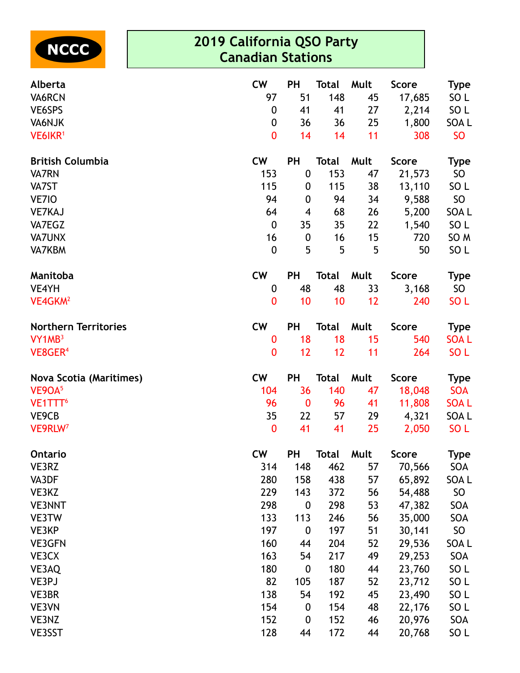

## **2019 California QSO Party Canadian Stations**

| Alberta                        | <b>CW</b>        | <b>PH</b>        | <b>Total</b> | Mult | <b>Score</b> | <b>Type</b>     |
|--------------------------------|------------------|------------------|--------------|------|--------------|-----------------|
| VA6RCN                         | 97               | 51               | 148          | 45   | 17,685       | SO L            |
| VE6SPS                         | $\boldsymbol{0}$ | 41               | 41           | 27   | 2,214        | SO L            |
| VA6NJK                         | 0                | 36               | 36           | 25   | 1,800        | SOA L           |
| VE6IKR <sup>1</sup>            | $\bf{0}$         | 14               | 14           | 11   | 308          | <b>SO</b>       |
| <b>British Columbia</b>        | <b>CW</b>        | <b>PH</b>        | <b>Total</b> | Mult | <b>Score</b> | <b>Type</b>     |
| <b>VA7RN</b>                   | 153              | $\boldsymbol{0}$ | 153          | 47   | 21,573       | SO              |
| VA7ST                          | 115              | 0                | 115          | 38   | 13,110       | SO L            |
| VE7IO                          | 94               | $\mathbf 0$      | 94           | 34   | 9,588        | SO              |
| <b>VE7KAJ</b>                  | 64               | 4                | 68           | 26   | 5,200        | SOA L           |
| VA7EGZ                         | $\boldsymbol{0}$ | 35               | 35           | 22   | 1,540        | SO <sub>L</sub> |
| <b>VA7UNX</b>                  | 16               | $\boldsymbol{0}$ | 16           | 15   | 720          | SO <sub>M</sub> |
| <b>VA7KBM</b>                  | $\mathbf 0$      | 5                | 5            | 5    | 50           | SO <sub>L</sub> |
| Manitoba                       | <b>CW</b>        | <b>PH</b>        | <b>Total</b> | Mult | <b>Score</b> | <b>Type</b>     |
| VE4YH                          | $\boldsymbol{0}$ | 48               | 48           | 33   | 3,168        | SO              |
| VE4GKM <sup>2</sup>            | 0                | 10               | 10           | 12   | 240          | SO <sub>L</sub> |
| <b>Northern Territories</b>    | <b>CW</b>        | <b>PH</b>        | <b>Total</b> | Mult | <b>Score</b> | <b>Type</b>     |
| VY1MB <sup>3</sup>             | $\boldsymbol{0}$ | 18               | 18           | 15   | 540          | <b>SOAL</b>     |
| VE8GER <sup>4</sup>            | $\mathbf{0}$     | 12               | 12           | 11   | 264          | SO <sub>L</sub> |
| <b>Nova Scotia (Maritimes)</b> | <b>CW</b>        | <b>PH</b>        | <b>Total</b> | Mult | <b>Score</b> | <b>Type</b>     |
| VE9OA <sup>5</sup>             | 104              | 36               | 140          | 47   | 18,048       | <b>SOA</b>      |
| VE1TTT <sup>6</sup>            | 96               | $\bf{0}$         | 96           | 41   | 11,808       | <b>SOAL</b>     |
| VE9CB                          | 35               | 22               | 57           | 29   | 4,321        | SOA L           |
| VE9RLW <sup>7</sup>            | $\boldsymbol{0}$ | 41               | 41           | 25   | 2,050        | SO <sub>L</sub> |
| <b>Ontario</b>                 | CW               | <b>PH</b>        | Total        | Mult | <b>Score</b> | Type            |
| VE3RZ                          | 314              | 148              | 462          | 57   | 70,566       | SOA             |
| VA3DF                          | 280              | 158              | 438          | 57   | 65,892       | SOA L           |
| VE3KZ                          | 229              | 143              | 372          | 56   | 54,488       | SO              |
| <b>VE3NNT</b>                  | 298              | $\mathbf 0$      | 298          | 53   | 47,382       | SOA             |
| VE3TW                          | 133              | 113              | 246          | 56   | 35,000       | SOA             |
| VE3KP                          | 197              | $\boldsymbol{0}$ | 197          | 51   | 30,141       | SO              |
| <b>VE3GFN</b>                  | 160              | 44               | 204          | 52   | 29,536       | SOA L           |
| VE3CX                          | 163              | 54               | 217          | 49   | 29,253       | SOA             |
| VE3AQ                          | 180              | $\boldsymbol{0}$ | 180          | 44   | 23,760       | SO L            |
| VE3PJ                          | 82               | 105              | 187          | 52   | 23,712       | SO <sub>L</sub> |
| VE3BR                          | 138              | 54               | 192          | 45   | 23,490       | SO <sub>L</sub> |
| VE3VN                          | 154              | $\boldsymbol{0}$ | 154          | 48   | 22,176       | SO <sub>L</sub> |
| VE3NZ                          | 152              | $\boldsymbol{0}$ | 152          | 46   | 20,976       | SOA             |
| VE3SST                         | 128              | 44               | 172          | 44   | 20,768       | SO L            |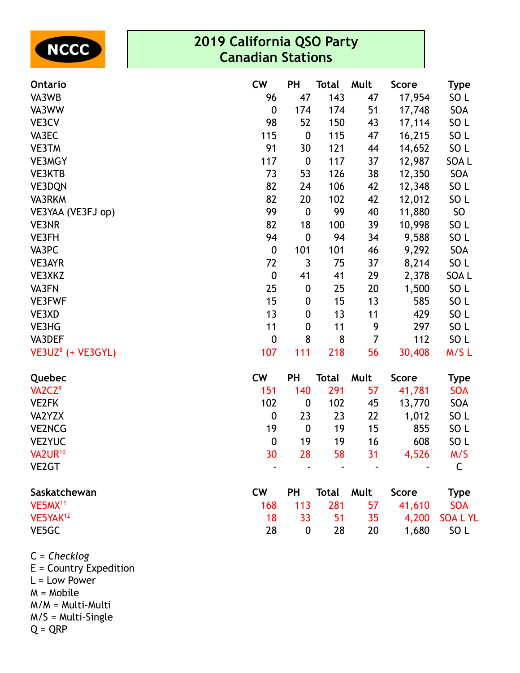

## **2019 California QSO Party Canadian Stations**

| Ontario                       | <b>CW</b>        | PH               | <b>Total</b> | Mult           | <b>Score</b> | <b>Type</b>     |
|-------------------------------|------------------|------------------|--------------|----------------|--------------|-----------------|
| VA3WB                         | 96               | 47               | 143          | 47             | 17,954       | SO <sub>L</sub> |
| VA3WW                         | $\boldsymbol{0}$ | 174              | 174          | 51             | 17,748       | SOA             |
| VE3CV                         | 98               | 52               | 150          | 43             | 17,114       | SO <sub>L</sub> |
| VA3EC                         | 115              | $\pmb{0}$        | 115          | 47             | 16,215       | SO <sub>L</sub> |
| <b>VE3TM</b>                  | 91               | 30               | 121          | 44             | 14,652       | SO <sub>L</sub> |
| <b>VE3MGY</b>                 | 117              | $\boldsymbol{0}$ | 117          | 37             | 12,987       | SOA L           |
| VE3KTB                        | 73               | 53               | 126          | 38             | 12,350       | SOA             |
| VE3DQN                        | 82               | 24               | 106          | 42             | 12,348       | SO <sub>L</sub> |
| VA3RKM                        | 82               | 20               | 102          | 42             | 12,012       | SO <sub>L</sub> |
| VE3YAA (VE3FJ op)             | 99               | $\boldsymbol{0}$ | 99           | 40             | 11,880       | SO              |
| VE3NR                         | 82               | 18               | 100          | 39             | 10,998       | SO <sub>L</sub> |
| VE3FH                         | 94               | $\boldsymbol{0}$ | 94           | 34             | 9,588        | SO <sub>L</sub> |
| VA3PC                         | $\boldsymbol{0}$ | 101              | 101          | 46             | 9,292        | SOA             |
| VE3AYR                        | 72               | $\mathfrak{Z}$   | 75           | 37             | 8,214        | SO <sub>L</sub> |
| VE3XKZ                        | $\pmb{0}$        | 41               | 41           | 29             | 2,378        | SOA L           |
| VA3FN                         | 25               | $\boldsymbol{0}$ | 25           | 20             | 1,500        | SO <sub>L</sub> |
| <b>VE3FWF</b>                 | 15               | $\boldsymbol{0}$ | 15           | 13             | 585          | SO <sub>L</sub> |
| VE3XD                         | 13               | $\boldsymbol{0}$ | 13           | 11             | 429          | SO <sub>L</sub> |
| VE3HG                         | 11               | $\boldsymbol{0}$ | 11           | 9              | 297          | SO <sub>L</sub> |
| VA3DEF                        | $\boldsymbol{0}$ | 8                | 8            | $\overline{7}$ | 112          | SO <sub>L</sub> |
| VE3UZ <sup>8</sup> (+ VE3GYL) | 107              | 111              | 218          | 56             | 30,408       | M/SL            |
| Quebec                        | <b>CW</b>        | <b>PH</b>        | <b>Total</b> | Mult           | <b>Score</b> | <b>Type</b>     |
| VA2CZ <sup>9</sup>            | 151              | 140              | 291          | 57             | 41,781       | <b>SOA</b>      |
| <b>VE2FK</b>                  | 102              | $\boldsymbol{0}$ | 102          | 45             | 13,770       | SOA             |
| VA2YZX                        | $\boldsymbol{0}$ | 23               | 23           | 22             | 1,012        | SO <sub>L</sub> |
| <b>VE2NCG</b>                 | 19               | $\boldsymbol{0}$ | 19           | 15             | 855          | SO <sub>L</sub> |
| <b>VE2YUC</b>                 | $\pmb{0}$        | 19               | 19           | 16             | 608          | SO <sub>L</sub> |
| VA2UR <sup>10</sup>           | 30               | 28               | 58           | 31             | 4,526        | M/S             |
| VE <sub>2</sub> GT            |                  |                  |              |                |              | C               |
| Saskatchewan                  | <b>CW</b>        | PH               | <b>Total</b> | Mult           | <b>Score</b> | <b>Type</b>     |
| VE5MX <sup>11</sup>           | 168              | 113              | 281          | 57             | 41,610       | <b>SOA</b>      |
| VE5YAK <sup>12</sup>          | 18               | 33               | 51           | 35             | 4,200        | <b>SOALYL</b>   |
| VE5GC                         | 28               | $\boldsymbol{0}$ | 28           | 20             | 1,680        | SO <sub>L</sub> |

C = *Checklog* E = Country Expedition L = Low Power M = Mobile M/M = Multi-Multi

M/S = Multi-Single

 $Q = QRP$